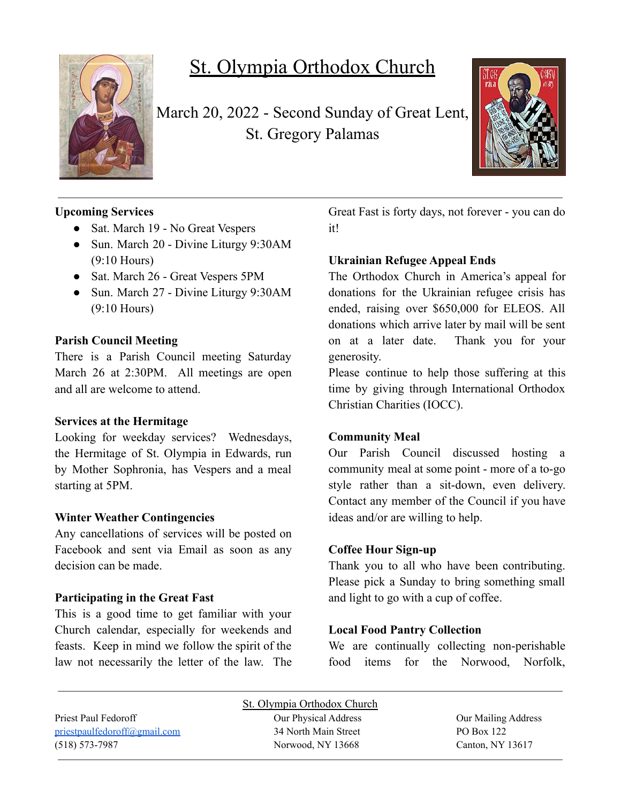

# St. Olympia Orthodox Church

March 20, 2022 - Second Sunday of Great Lent, St. Gregory Palamas



# **Upcoming Services**

- Sat. March 19 No Great Vespers
- Sun. March 20 Divine Liturgy 9:30AM (9:10 Hours)
- Sat. March 26 Great Vespers 5PM
- Sun. March 27 Divine Liturgy 9:30AM (9:10 Hours)

# **Parish Council Meeting**

There is a Parish Council meeting Saturday March 26 at 2:30PM. All meetings are open and all are welcome to attend.

#### **Services at the Hermitage**

Looking for weekday services? Wednesdays, the Hermitage of St. Olympia in Edwards, run by Mother Sophronia, has Vespers and a meal starting at 5PM.

# **Winter Weather Contingencies**

Any cancellations of services will be posted on Facebook and sent via Email as soon as any decision can be made.

# **Participating in the Great Fast**

This is a good time to get familiar with your Church calendar, especially for weekends and feasts. Keep in mind we follow the spirit of the law not necessarily the letter of the law. The Great Fast is forty days, not forever - you can do it!

# **Ukrainian Refugee Appeal Ends**

The Orthodox Church in America's appeal for donations for the Ukrainian refugee crisis has ended, raising over \$650,000 for ELEOS. All donations which arrive later by mail will be sent on at a later date. Thank you for your generosity.

Please continue to help those suffering at this time by giving through International Orthodox Christian Charities (IOCC).

# **Community Meal**

Our Parish Council discussed hosting a community meal at some point - more of a to-go style rather than a sit-down, even delivery. Contact any member of the Council if you have ideas and/or are willing to help.

#### **Coffee Hour Sign-up**

Thank you to all who have been contributing. Please pick a Sunday to bring something small and light to go with a cup of coffee.

# **Local Food Pantry Collection**

We are continually collecting non-perishable food items for the Norwood, Norfolk,

|                              | St. Olympia Orthodox Church |                     |
|------------------------------|-----------------------------|---------------------|
| Priest Paul Fedoroff         | Our Physical Address        | Our Mailing Address |
| priestpaulfedoroff@gmail.com | 34 North Main Street        | PO Box 122          |
| $(518) 573 - 7987$           | Norwood, NY 13668           | Canton, NY 13617    |